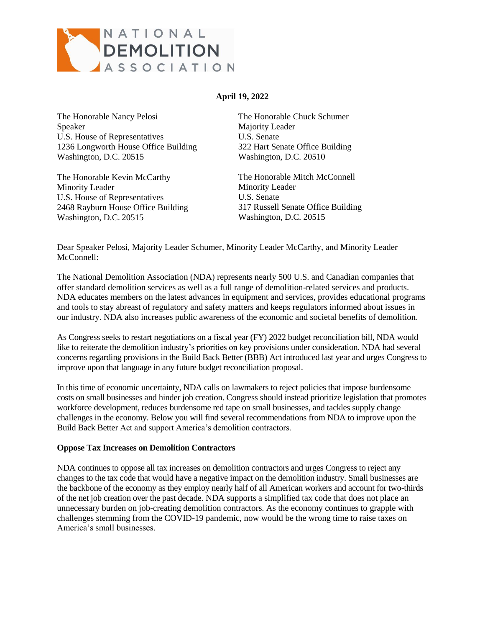

# **April 19, 2022**

The Honorable Nancy Pelosi Speaker U.S. House of Representatives 1236 Longworth House Office Building Washington, D.C. 20515

The Honorable Kevin McCarthy Minority Leader U.S. House of Representatives 2468 Rayburn House Office Building Washington, D.C. 20515

The Honorable Chuck Schumer Majority Leader U.S. Senate 322 Hart Senate Office Building Washington, D.C. 20510

The Honorable Mitch McConnell Minority Leader U.S. Senate 317 Russell Senate Office Building Washington, D.C. 20515

Dear Speaker Pelosi, Majority Leader Schumer, Minority Leader McCarthy, and Minority Leader McConnell:

The National Demolition Association (NDA) represents nearly 500 U.S. and Canadian companies that offer standard demolition services as well as a full range of demolition-related services and products. NDA educates members on the latest advances in equipment and services, provides educational programs and tools to stay abreast of regulatory and safety matters and keeps regulators informed about issues in our industry. NDA also increases public awareness of the economic and societal benefits of demolition.

As Congress seeks to restart negotiations on a fiscal year (FY) 2022 budget reconciliation bill, NDA would like to reiterate the demolition industry's priorities on key provisions under consideration. NDA had several concerns regarding provisions in the Build Back Better (BBB) Act introduced last year and urges Congress to improve upon that language in any future budget reconciliation proposal.

In this time of economic uncertainty, NDA calls on lawmakers to reject policies that impose burdensome costs on small businesses and hinder job creation. Congress should instead prioritize legislation that promotes workforce development, reduces burdensome red tape on small businesses, and tackles supply change challenges in the economy. Below you will find several recommendations from NDA to improve upon the Build Back Better Act and support America's demolition contractors.

#### **Oppose Tax Increases on Demolition Contractors**

NDA continues to oppose all tax increases on demolition contractors and urges Congress to reject any changes to the tax code that would have a negative impact on the demolition industry. Small businesses are the backbone of the economy as they employ nearly half of all American workers and account for two-thirds of the net job creation over the past decade. NDA supports a simplified tax code that does not place an unnecessary burden on job-creating demolition contractors. As the economy continues to grapple with challenges stemming from the COVID-19 pandemic, now would be the wrong time to raise taxes on America's small businesses.